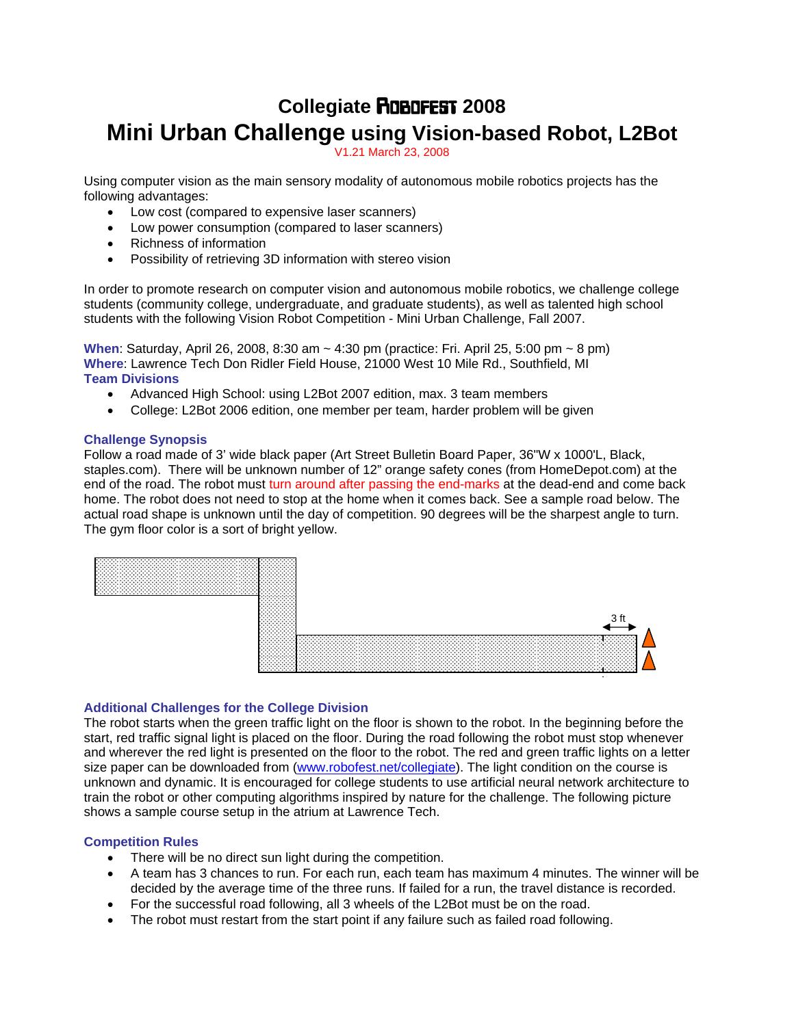# **Collegiate** Robofest **2008**

# **Mini Urban Challenge using Vision-based Robot, L2Bot**

V1.21 March 23, 2008

Using computer vision as the main sensory modality of autonomous mobile robotics projects has the following advantages:

- Low cost (compared to expensive laser scanners)
- Low power consumption (compared to laser scanners)
- Richness of information
- Possibility of retrieving 3D information with stereo vision

In order to promote research on computer vision and autonomous mobile robotics, we challenge college students (community college, undergraduate, and graduate students), as well as talented high school students with the following Vision Robot Competition - Mini Urban Challenge, Fall 2007.

**When**: Saturday, April 26, 2008, 8:30 am ~ 4:30 pm (practice: Fri. April 25, 5:00 pm ~ 8 pm) **Where**: Lawrence Tech Don Ridler Field House, 21000 West 10 Mile Rd., Southfield, MI **Team Divisions** 

- Advanced High School: using L2Bot 2007 edition, max. 3 team members
- College: L2Bot 2006 edition, one member per team, harder problem will be given

# **Challenge Synopsis**

Follow a road made of 3' wide black paper (Art Street Bulletin Board Paper, 36"W x 1000'L, Black, staples.com). There will be unknown number of 12" orange safety cones (from HomeDepot.com) at the end of the road. The robot must turn around after passing the end-marks at the dead-end and come back home. The robot does not need to stop at the home when it comes back. See a sample road below. The actual road shape is unknown until the day of competition. 90 degrees will be the sharpest angle to turn. The gym floor color is a sort of bright yellow.



# **Additional Challenges for the College Division**

The robot starts when the green traffic light on the floor is shown to the robot. In the beginning before the start, red traffic signal light is placed on the floor. During the road following the robot must stop whenever and wherever the red light is presented on the floor to the robot. The red and green traffic lights on a letter size paper can be downloaded from (www.robofest.net/collegiate). The light condition on the course is unknown and dynamic. It is encouraged for college students to use artificial neural network architecture to train the robot or other computing algorithms inspired by nature for the challenge. The following picture shows a sample course setup in the atrium at Lawrence Tech.

# **Competition Rules**

- There will be no direct sun light during the competition.
- A team has 3 chances to run. For each run, each team has maximum 4 minutes. The winner will be decided by the average time of the three runs. If failed for a run, the travel distance is recorded.
- For the successful road following, all 3 wheels of the L2Bot must be on the road.
- The robot must restart from the start point if any failure such as failed road following.